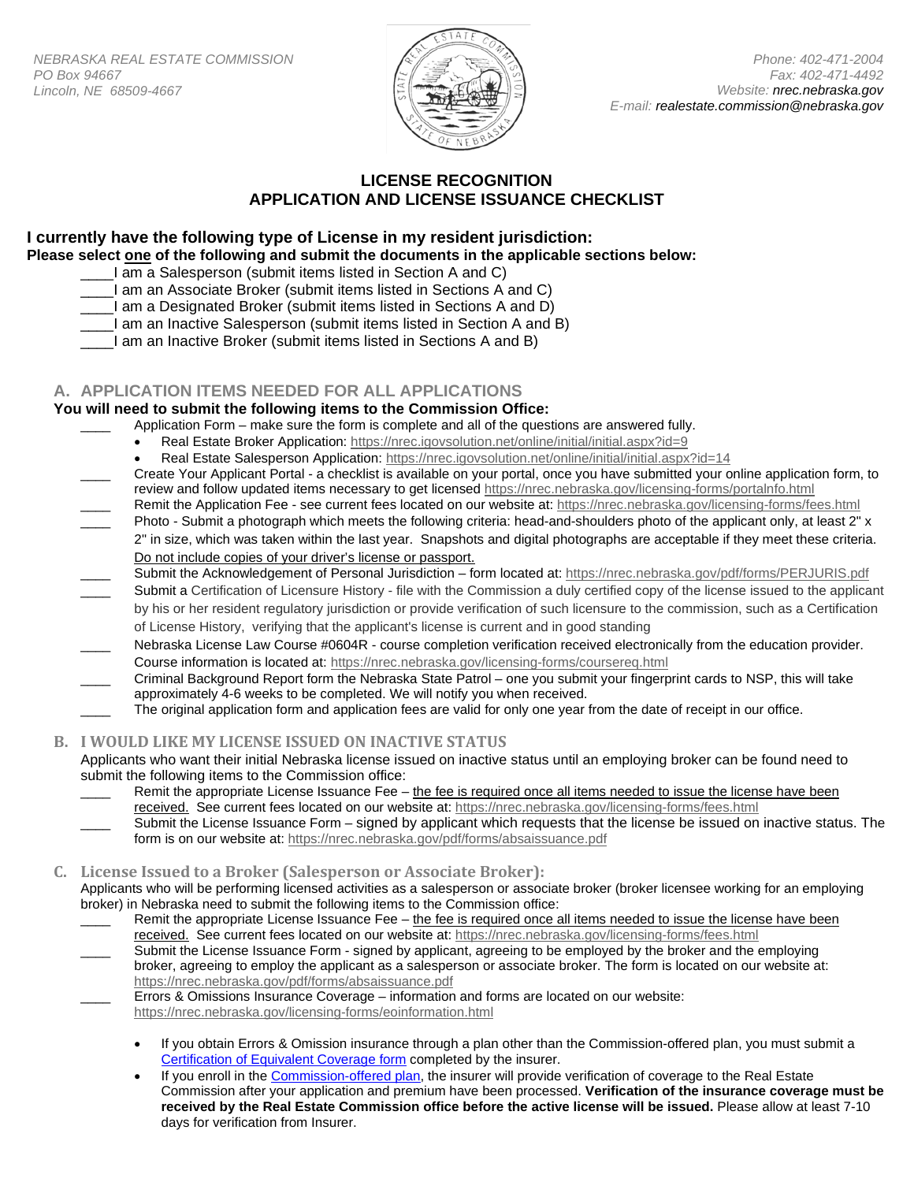

# **LICENSE RECOGNITION APPLICATION AND LICENSE ISSUANCE CHECKLIST**

## **I currently have the following type of License in my resident jurisdiction: Please select one of the following and submit the documents in the applicable sections below:**

- I am a Salesperson (submit items listed in Section A and C)
- \_\_\_\_I am an Associate Broker (submit items listed in Sections A and C)
- \_\_\_\_I am a Designated Broker (submit items listed in Sections A and D)
- \_\_\_\_I am an Inactive Salesperson (submit items listed in Section A and B)
- \_\_\_\_I am an Inactive Broker (submit items listed in Sections A and B)

## **A. APPLICATION ITEMS NEEDED FOR ALL APPLICATIONS**

### **You will need to submit the following items to the Commission Office:**

- Application Form make sure the form is complete and all of the questions are answered fully.
	- Real Estate Broker Application:<https://nrec.igovsolution.net/online/initial/initial.aspx?id=9>
	- Real Estate Salesperson Application[: https://nrec.igovsolution.net/online/initial/initial.aspx?id=14](https://nrec.igovsolution.net/online/initial/initial.aspx?id=14)
- Create Your Applicant Portal a checklist is available on your portal, once you have submitted your online application form, to review and follow updated items necessary to get licensed <https://nrec.nebraska.gov/licensing-forms/portalnfo.html>
- Remit the Application Fee see current fees located on our website at: https://nrec.nebraska.gov/licensing-forms/fees.html Photo - Submit a photograph which meets the following criteria: head-and-shoulders photo of the applicant only, at least 2" x
- 2" in size, which was taken within the last year. Snapshots and digital photographs are acceptable if they meet these criteria. Do not include copies of your driver's license or passport.
- Submit the Acknowledgement of Personal Jurisdiction form located at:<https://nrec.nebraska.gov/pdf/forms/PERJURIS.pdf>
- Submit a Certification of Licensure History file with the Commission a duly certified copy of the license issued to the applicant by his or her resident regulatory jurisdiction or provide verification of such licensure to the commission, such as a Certification of License History, verifying that the applicant's license is current and in good standing
- Nebraska License Law Course #0604R course completion verification received electronically from the education provider. Course information is located at[: https://nrec.nebraska.gov/licensing-forms/coursereq.html](https://nrec.nebraska.gov/licensing-forms/coursereq.html)
- Criminal Background Report form the Nebraska State Patrol one you submit your fingerprint cards to NSP, this will take approximately 4-6 weeks to be completed. We will notify you when received.
- The original application form and application fees are valid for only one year from the date of receipt in our office.

## **B. I WOULD LIKE MY LICENSE ISSUED ON INACTIVE STATUS**

Applicants who want their initial Nebraska license issued on inactive status until an employing broker can be found need to submit the following items to the Commission office:

- Remit the appropriate License Issuance Fee the fee is required once all items needed to issue the license have been received. See current fees located on our website at:<https://nrec.nebraska.gov/licensing-forms/fees.html>
- Submit the License Issuance Form signed by applicant which requests that the license be issued on inactive status. The form is on our website at:<https://nrec.nebraska.gov/pdf/forms/absaissuance.pdf>

### **C. License Issued to a Broker (Salesperson or Associate Broker):**

Applicants who will be performing licensed activities as a salesperson or associate broker (broker licensee working for an employing broker) in Nebraska need to submit the following items to the Commission office:

Remit the appropriate License Issuance Fee – the fee is required once all items needed to issue the license have been received. See current fees located on our website at:<https://nrec.nebraska.gov/licensing-forms/fees.html> Submit the License Issuance Form - signed by applicant, agreeing to be employed by the broker and the employing broker, agreeing to employ the applicant as a salesperson or associate broker. The form is located on our website at: <https://nrec.nebraska.gov/pdf/forms/absaissuance.pdf>

Errors & Omissions Insurance Coverage – information and forms are located on our website:

- <https://nrec.nebraska.gov/licensing-forms/eoinformation.html>
	- If you obtain Errors & Omission insurance through a plan other than the Commission-offered plan, you must submit a [Certification of Equivalent Coverage form](https://nrec.nebraska.gov/pdf/forms/CERTIFY.pdf) completed by the insurer.
	- If you enroll in th[e Commission-offered plan,](https://nrec.nebraska.gov/licensing-forms/eoinformation.html) the insurer will provide verification of coverage to the Real Estate Commission after your application and premium have been processed. **Verification of the insurance coverage must be received by the Real Estate Commission office before the active license will be issued.** Please allow at least 7-10 days for verification from Insurer.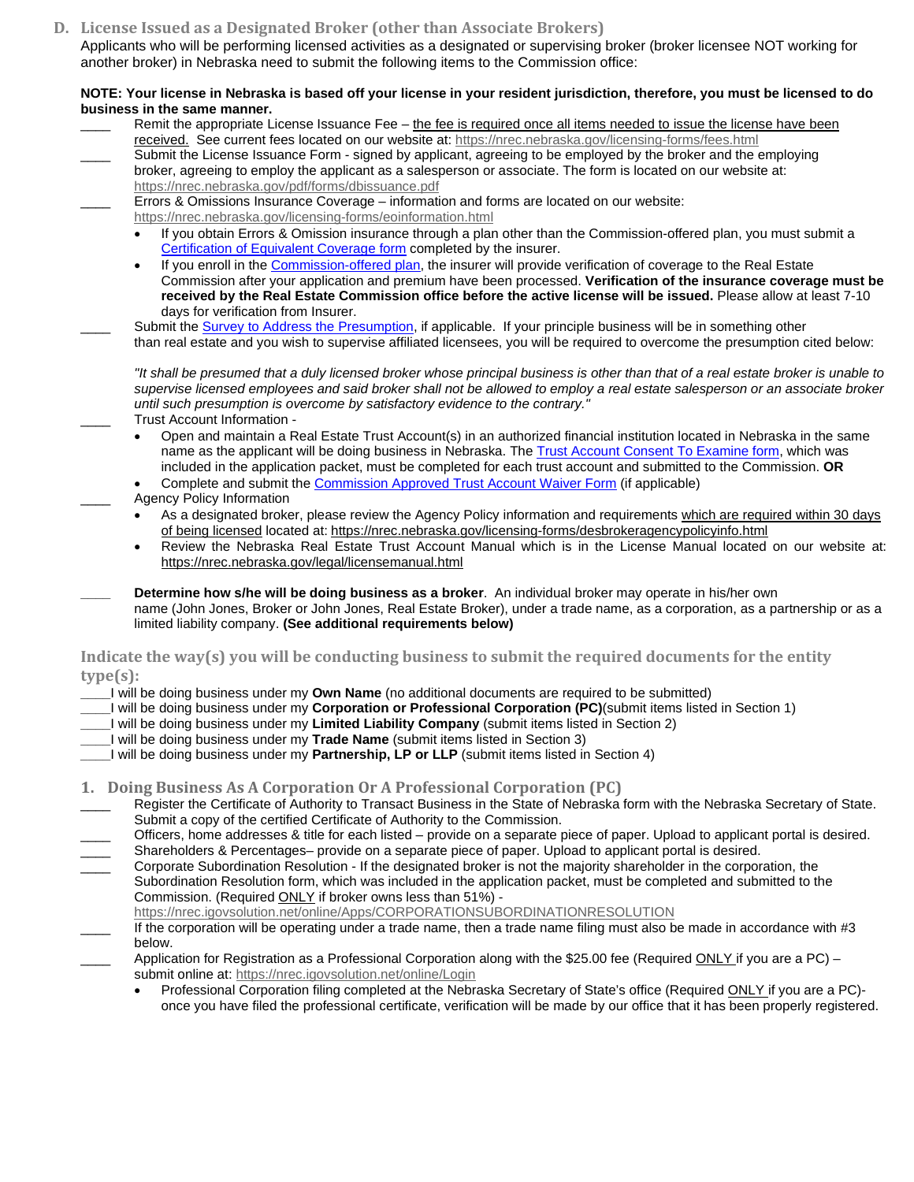**D. License Issued as a Designated Broker (other than Associate Brokers)**

Applicants who will be performing licensed activities as a designated or supervising broker (broker licensee NOT working for another broker) in Nebraska need to submit the following items to the Commission office:

### **NOTE: Your license in Nebraska is based off your license in your resident jurisdiction, therefore, you must be licensed to do business in the same manner.**

Remit the appropriate License Issuance Fee – the fee is required once all items needed to issue the license have been received. See current fees located on our website at:<https://nrec.nebraska.gov/licensing-forms/fees.html> Submit the License Issuance Form - signed by applicant, agreeing to be employed by the broker and the employing broker, agreeing to employ the applicant as a salesperson or associate. The form is located on our website at: <https://nrec.nebraska.gov/pdf/forms/dbissuance.pdf> Errors & Omissions Insurance Coverage – information and forms are located on our website: <https://nrec.nebraska.gov/licensing-forms/eoinformation.html> • If you obtain Errors & Omission insurance through a plan other than the Commission-offered plan, you must submit a [Certification of Equivalent Coverage form](https://nrec.nebraska.gov/pdf/forms/CERTIFY.pdf) completed by the insurer. • If you enroll in th[e Commission-offered plan,](https://nrec.nebraska.gov/licensing-forms/eoinformation.html) the insurer will provide verification of coverage to the Real Estate Commission after your application and premium have been processed. **Verification of the insurance coverage must be received by the Real Estate Commission office before the active license will be issued.** Please allow at least 7-10 days for verification from Insurer. Submit th[e Survey to Address the Presumption,](https://nrec.nebraska.gov/pdf/forms/PRESUMP.pdf) if applicable. If your principle business will be in something other than real estate and you wish to supervise affiliated licensees, you will be required to overcome the presumption cited below: *"It shall be presumed that a duly licensed broker whose principal business is other than that of a real estate broker is unable to supervise licensed employees and said broker shall not be allowed to employ a real estate salesperson or an associate broker until such presumption is overcome by satisfactory evidence to the contrary."* Trust Account Information -• Open and maintain a Real Estate Trust Account(s) in an authorized financial institution located in Nebraska in the same name as the applicant will be doing business in Nebraska. Th[e Trust Account Consent To Examine form,](https://nrec.nebraska.gov/pdf/forms/exta.pdf) which was included in the application packet, must be completed for each trust account and submitted to the Commission. **OR** • Complete and submit th[e Commission Approved Trust Account Waiver Form](https://nrec.nebraska.gov/pdf/forms/trustaccountwaiver.pdf) (if applicable) Agency Policy Information As a designated broker, please review the Agency Policy information and requirements which are required within 30 days of being licensed located at: <https://nrec.nebraska.gov/licensing-forms/desbrokeragencypolicyinfo.html> • Review the Nebraska Real Estate Trust Account Manual which is in the License Manual located on our website at: <https://nrec.nebraska.gov/legal/licensemanual.html> **\_\_\_\_ Determine how s/he will be doing business as a broker**. An individual broker may operate in his/her own name (John Jones, Broker or John Jones, Real Estate Broker), under a trade name, as a corporation, as a partnership or as a limited liability company. **(See additional requirements below) Indicate the way(s) you will be conducting business to submit the required documents for the entity type(s): \_\_\_\_**I will be doing business under my **Own Name** (no additional documents are required to be submitted) **\_\_\_\_**I will be doing business under my **Corporation or Professional Corporation (PC)**(submit items listed in Section 1) **\_\_\_\_**I will be doing business under my **Limited Liability Company** (submit items listed in Section 2) **\_\_\_\_**I will be doing business under my **Trade Name** (submit items listed in Section 3) **\_\_\_\_**I will be doing business under my **Partnership, LP or LLP** (submit items listed in Section 4) **1. Doing Business As A Corporation Or A Professional Corporation (PC)** Register the Certificate of Authority to Transact Business in the State of Nebraska form with the Nebraska Secretary of State. Submit a copy of the certified Certificate of Authority to the Commission. Officers, home addresses & title for each listed – provide on a separate piece of paper. Upload to applicant portal is desired. \_\_\_\_ Shareholders & Percentages– provide on a separate piece of paper. Upload to applicant portal is desired. \_\_\_\_ Corporate Subordination Resolution - If the designated broker is not the majority shareholder in the corporation, the Subordination Resolution form, which was included in the application packet, must be completed and submitted to the Commission. (Required ONLY if broker owns less than 51%) <https://nrec.igovsolution.net/online/Apps/CORPORATIONSUBORDINATIONRESOLUTION> If the corporation will be operating under a trade name, then a trade name filing must also be made in accordance with #3 below. Application for Registration as a Professional Corporation along with the \$25.00 fee (Required ONLY if you are a PC) submit online at:<https://nrec.igovsolution.net/online/Login> Professional Corporation filing completed at the Nebraska Secretary of State's office (Required ONLY if you are a PC)once you have filed the professional certificate, verification will be made by our office that it has been properly registered.